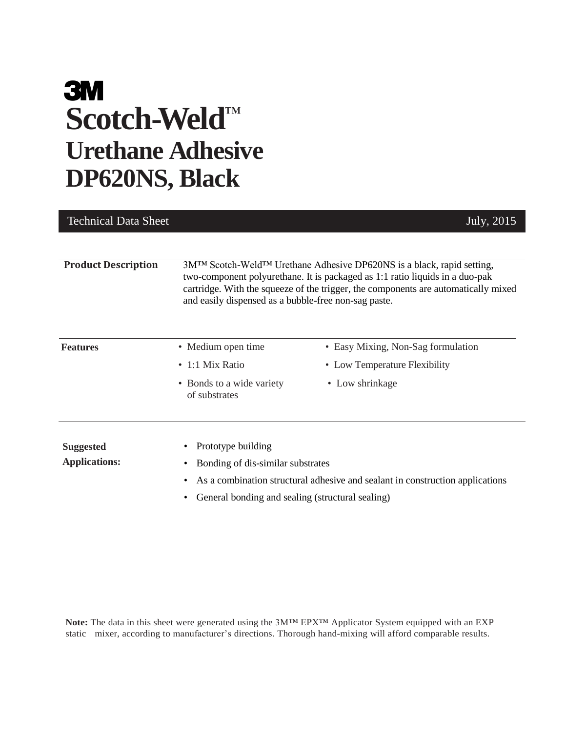# **3M Scotch-Weld** ™ **Urethane Adhesive DP620NS, Black**

| <b>Technical Data Sheet</b> |                                                       | July, 2015                                                                                                                                                                                                                                                            |
|-----------------------------|-------------------------------------------------------|-----------------------------------------------------------------------------------------------------------------------------------------------------------------------------------------------------------------------------------------------------------------------|
|                             |                                                       |                                                                                                                                                                                                                                                                       |
| <b>Product Description</b>  | and easily dispensed as a bubble-free non-sag paste.  | 3M <sup>TM</sup> Scotch-Weld <sup>TM</sup> Urethane Adhesive DP620NS is a black, rapid setting,<br>two-component polyurethane. It is packaged as 1:1 ratio liquids in a duo-pak<br>cartridge. With the squeeze of the trigger, the components are automatically mixed |
| <b>Features</b>             | • Medium open time                                    | • Easy Mixing, Non-Sag formulation                                                                                                                                                                                                                                    |
|                             | $\cdot$ 1:1 Mix Ratio                                 | • Low Temperature Flexibility                                                                                                                                                                                                                                         |
|                             | • Bonds to a wide variety<br>of substrates            | • Low shrinkage                                                                                                                                                                                                                                                       |
| <b>Suggested</b>            | Prototype building<br>٠                               |                                                                                                                                                                                                                                                                       |
| <b>Applications:</b>        | Bonding of dis-similar substrates<br>٠                |                                                                                                                                                                                                                                                                       |
|                             | ٠                                                     | As a combination structural adhesive and sealant in construction applications                                                                                                                                                                                         |
|                             | General bonding and sealing (structural sealing)<br>٠ |                                                                                                                                                                                                                                                                       |

**Note:** The data in this sheet were generated using the 3M™ EPX™ Applicator System equipped with an EXP static mixer, according to manufacturer's directions. Thorough hand-mixing will afford comparable results.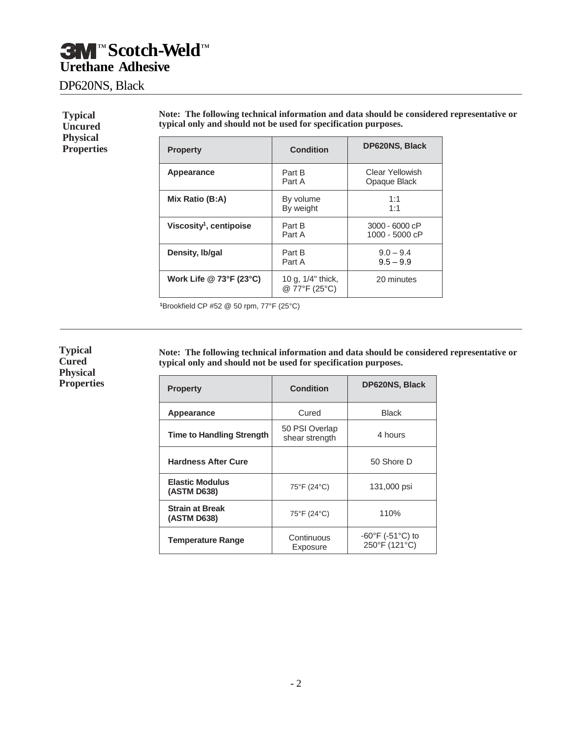### DP620NS, Black

| <b>Typical</b><br><b>Uncured</b>     |                 | Note: The following technical information and data should be considered representative or<br>typical only and should not be used for specification purposes. |                                        |  |  |
|--------------------------------------|-----------------|--------------------------------------------------------------------------------------------------------------------------------------------------------------|----------------------------------------|--|--|
| <b>Physical</b><br><b>Properties</b> | <b>Property</b> | <b>Condition</b>                                                                                                                                             | <b>DP620NS, Black</b>                  |  |  |
|                                      | Appearance      | Part B<br>Part A                                                                                                                                             | <b>Clear Yellowish</b><br>Opaque Black |  |  |
|                                      | Mix Ratio (B:A) | By volume<br>By weight                                                                                                                                       | 1:1<br>1:1                             |  |  |

**Viscosity<sup>1</sup>**

**Work Life @ 73°F (23°C)** 

**<sup>1</sup>**Brookfield CP #52 @ 50 rpm, 77°F (25°C)

By weight

@ 77°F (25°C)

**Density, Ib/gal** Part B 9.0 – 9.4<br>Part A 9.5 – 9.9

**Note: The following technical information and data should be considered representative or typical only and should not be used for specification purposes.**

Part B<br>
Part A<br> **1000 - 5000 cP**<br> **1000 - 5000 cP** 

1000 - 5000 cP

 $9.5 - 9.9$ 

20 minutes

| <b>Property</b>                       | Condition                        | <b>DP620NS, Black</b>                                  |
|---------------------------------------|----------------------------------|--------------------------------------------------------|
| Appearance                            | Cured                            | <b>Black</b>                                           |
| <b>Time to Handling Strength</b>      | 50 PSI Overlap<br>shear strength | 4 hours                                                |
| <b>Hardness After Cure</b>            |                                  | 50 Shore D                                             |
| <b>Elastic Modulus</b><br>(ASTM D638) | 75°F (24°C)                      | 131,000 psi                                            |
| <b>Strain at Break</b><br>(ASTM D638) | 75°F (24°C)                      | 110%                                                   |
| <b>Temperature Range</b>              | Continuous<br>Exposure           | $-60^{\circ}$ F (-51 $^{\circ}$ C) to<br>250°F (121°C) |

#### **Typical Cured Physical Properties**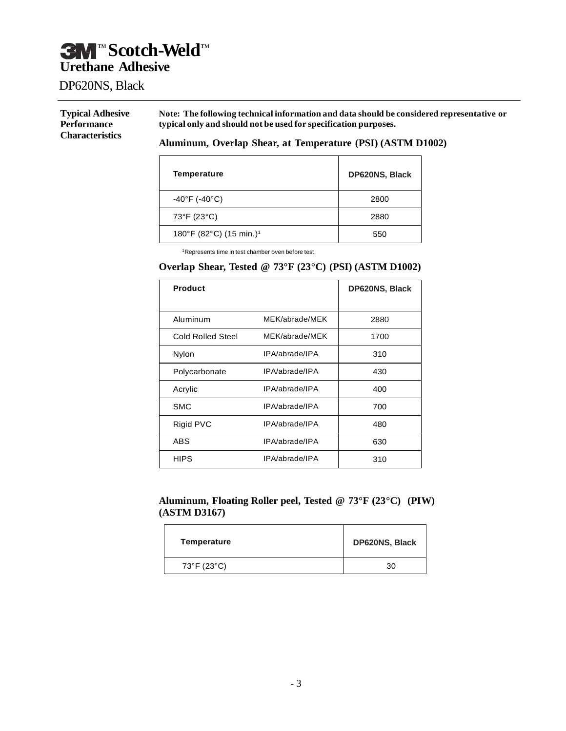### DP620NS, Black

#### **Typical Adhesive Performance Characteristics**

**Note: The following technical information and data should be considered representative or typical only and should not be used for specification purposes.**

#### **Aluminum, Overlap Shear, at Temperature (PSI) (ASTM D1002)**

| Temperature                         | <b>DP620NS, Black</b> |
|-------------------------------------|-----------------------|
| $-40^{\circ}$ F (-40 $^{\circ}$ C)  | 2800                  |
| 73°F (23°C)                         | 2880                  |
| 180°F (82°C) (15 min.) <sup>1</sup> | 550                   |

<sup>1</sup>Represents time in test chamber oven before test.

#### **Overlap Shear, Tested @ 73°F (23°C) (PSI) (ASTM D1002)**

| <b>Product</b>    |                | DP620NS, Black |
|-------------------|----------------|----------------|
|                   |                |                |
| Aluminum          | MEK/abrade/MEK | 2880           |
| Cold Rolled Steel | MEK/abrade/MEK | 1700           |
| Nylon             | IPA/abrade/IPA | 310            |
| Polycarbonate     | IPA/abrade/IPA | 430            |
| Acrylic           | IPA/abrade/IPA | 400            |
| <b>SMC</b>        | IPA/abrade/IPA | 700            |
| Rigid PVC         | IPA/abrade/IPA | 480            |
| <b>ABS</b>        | IPA/abrade/IPA | 630            |
| <b>HIPS</b>       | IPA/abrade/IPA | 310            |

#### **Aluminum, Floating Roller peel, Tested @ 73°F (23°C) (PIW) (ASTM D3167)**

| Temperature | <b>DP620NS, Black</b> |
|-------------|-----------------------|
| 73°F (23°C) | 30                    |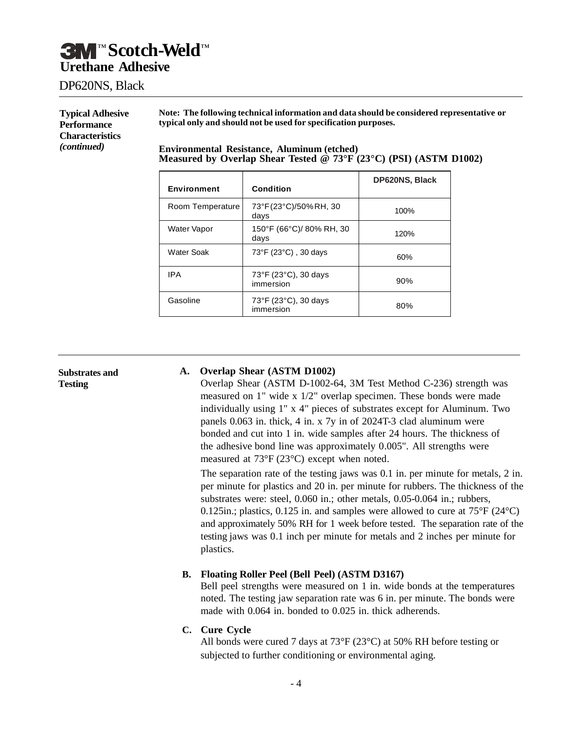### DP620NS, Black

**Typical Adhesive Performance Characteristics**  *(continued)*

**Note: The following technical information and data should be considered representative or typical only and should not be used for specification purposes.**

**Environmental Resistance, Aluminum (etched) Measured by Overlap Shear Tested @ 73°F (23°C) (PSI) (ASTM D1002)**

| <b>Environment</b> | <b>Condition</b>                  | DP620NS, Black |
|--------------------|-----------------------------------|----------------|
| Room Temperature   | 73°F(23°C)/50% RH, 30<br>days     | 100%           |
| Water Vapor        | 150°F (66°C)/ 80% RH, 30<br>days  | 120%           |
| Water Soak         | 73°F (23°C), 30 days              | 60%            |
| IPA                | 73°F (23°C), 30 days<br>immersion | 90%            |
| Gasoline           | 73°F (23°C), 30 days<br>immersion | 80%            |

**Substrates and Testing**

#### **A. Overlap Shear (ASTM D1002)**

Overlap Shear (ASTM D-1002-64, 3M Test Method C-236) strength was measured on 1" wide x 1/2" overlap specimen. These bonds were made individually using 1" x 4" pieces of substrates except for Aluminum. Two panels 0.063 in. thick, 4 in. x 7y in of 2024T-3 clad aluminum were bonded and cut into 1 in. wide samples after 24 hours. The thickness of the adhesive bond line was approximately 0.005". All strengths were measured at 73°F (23°C) except when noted.

The separation rate of the testing jaws was 0.1 in. per minute for metals, 2 in. per minute for plastics and 20 in. per minute for rubbers. The thickness of the substrates were: steel, 0.060 in.; other metals, 0.05-0.064 in.; rubbers, 0.125in.; plastics, 0.125 in. and samples were allowed to cure at 75°F (24°C) and approximately 50% RH for 1 week before tested. The separation rate of the testing jaws was 0.1 inch per minute for metals and 2 inches per minute for plastics.

#### **B. Floating Roller Peel (Bell Peel) (ASTM D3167)**

Bell peel strengths were measured on 1 in. wide bonds at the temperatures noted. The testing jaw separation rate was 6 in. per minute. The bonds were made with 0.064 in. bonded to 0.025 in. thick adherends.

#### **C. Cure Cycle**

All bonds were cured 7 days at 73°F (23°C) at 50% RH before testing or subjected to further conditioning or environmental aging.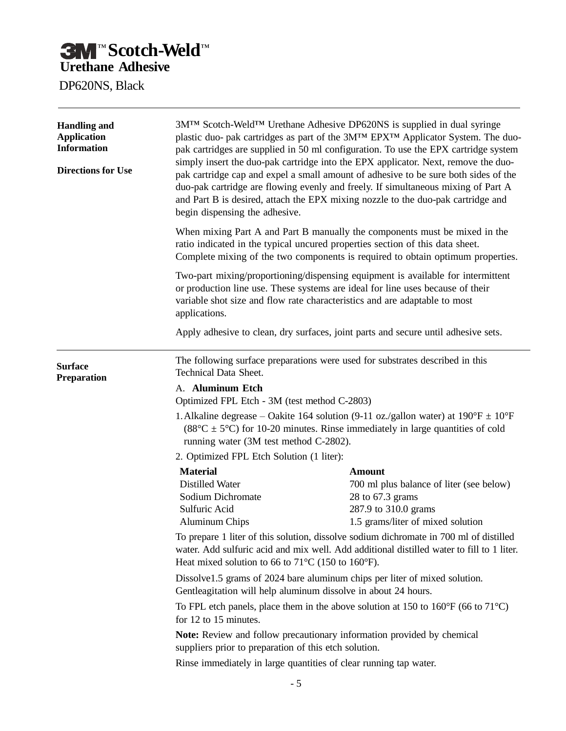DP620NS, Black

| <b>Handling and</b><br><b>Application</b><br><b>Information</b><br><b>Directions for Use</b> | 3M™ Scotch-Weld™ Urethane Adhesive DP620NS is supplied in dual syringe<br>plastic duo- pak cartridges as part of the 3MTM EPXTM Applicator System. The duo-<br>pak cartridges are supplied in 50 ml configuration. To use the EPX cartridge system<br>simply insert the duo-pak cartridge into the EPX applicator. Next, remove the duo-<br>pak cartridge cap and expel a small amount of adhesive to be sure both sides of the<br>duo-pak cartridge are flowing evenly and freely. If simultaneous mixing of Part A<br>and Part B is desired, attach the EPX mixing nozzle to the duo-pak cartridge and<br>begin dispensing the adhesive.<br>When mixing Part A and Part B manually the components must be mixed in the<br>ratio indicated in the typical uncured properties section of this data sheet.<br>Complete mixing of the two components is required to obtain optimum properties.<br>Two-part mixing/proportioning/dispensing equipment is available for intermittent<br>or production line use. These systems are ideal for line uses because of their<br>variable shot size and flow rate characteristics and are adaptable to most<br>applications. |                                                                                                                                            |  |
|----------------------------------------------------------------------------------------------|-------------------------------------------------------------------------------------------------------------------------------------------------------------------------------------------------------------------------------------------------------------------------------------------------------------------------------------------------------------------------------------------------------------------------------------------------------------------------------------------------------------------------------------------------------------------------------------------------------------------------------------------------------------------------------------------------------------------------------------------------------------------------------------------------------------------------------------------------------------------------------------------------------------------------------------------------------------------------------------------------------------------------------------------------------------------------------------------------------------------------------------------------------------------|--------------------------------------------------------------------------------------------------------------------------------------------|--|
|                                                                                              |                                                                                                                                                                                                                                                                                                                                                                                                                                                                                                                                                                                                                                                                                                                                                                                                                                                                                                                                                                                                                                                                                                                                                                   |                                                                                                                                            |  |
|                                                                                              |                                                                                                                                                                                                                                                                                                                                                                                                                                                                                                                                                                                                                                                                                                                                                                                                                                                                                                                                                                                                                                                                                                                                                                   |                                                                                                                                            |  |
|                                                                                              | Apply adhesive to clean, dry surfaces, joint parts and secure until adhesive sets.                                                                                                                                                                                                                                                                                                                                                                                                                                                                                                                                                                                                                                                                                                                                                                                                                                                                                                                                                                                                                                                                                |                                                                                                                                            |  |
| <b>Surface</b><br>Preparation                                                                | The following surface preparations were used for substrates described in this<br><b>Technical Data Sheet.</b><br>A. Aluminum Etch                                                                                                                                                                                                                                                                                                                                                                                                                                                                                                                                                                                                                                                                                                                                                                                                                                                                                                                                                                                                                                 |                                                                                                                                            |  |
|                                                                                              | Optimized FPL Etch - 3M (test method C-2803)                                                                                                                                                                                                                                                                                                                                                                                                                                                                                                                                                                                                                                                                                                                                                                                                                                                                                                                                                                                                                                                                                                                      |                                                                                                                                            |  |
|                                                                                              | 1. Alkaline degrease – Oakite 164 solution (9-11 oz./gallon water) at $190^{\circ}F \pm 10^{\circ}F$<br>$(88^{\circ}C \pm 5^{\circ}C)$ for 10-20 minutes. Rinse immediately in large quantities of cold<br>running water (3M test method C-2802).                                                                                                                                                                                                                                                                                                                                                                                                                                                                                                                                                                                                                                                                                                                                                                                                                                                                                                                 |                                                                                                                                            |  |
|                                                                                              | 2. Optimized FPL Etch Solution (1 liter):                                                                                                                                                                                                                                                                                                                                                                                                                                                                                                                                                                                                                                                                                                                                                                                                                                                                                                                                                                                                                                                                                                                         |                                                                                                                                            |  |
|                                                                                              | <b>Material</b><br><b>Distilled Water</b><br>Sodium Dichromate<br>Sulfuric Acid<br><b>Aluminum Chips</b><br>To prepare 1 liter of this solution, dissolve sodium dichromate in 700 ml of distilled                                                                                                                                                                                                                                                                                                                                                                                                                                                                                                                                                                                                                                                                                                                                                                                                                                                                                                                                                                | <b>Amount</b><br>700 ml plus balance of liter (see below)<br>28 to 67.3 grams<br>287.9 to 310.0 grams<br>1.5 grams/liter of mixed solution |  |
|                                                                                              | water. Add sulfuric acid and mix well. Add additional distilled water to fill to 1 liter.<br>Heat mixed solution to 66 to 71 $\degree$ C (150 to 160 $\degree$ F).                                                                                                                                                                                                                                                                                                                                                                                                                                                                                                                                                                                                                                                                                                                                                                                                                                                                                                                                                                                                |                                                                                                                                            |  |
|                                                                                              | Dissolve1.5 grams of 2024 bare aluminum chips per liter of mixed solution.<br>Gentleagitation will help aluminum dissolve in about 24 hours.                                                                                                                                                                                                                                                                                                                                                                                                                                                                                                                                                                                                                                                                                                                                                                                                                                                                                                                                                                                                                      |                                                                                                                                            |  |
|                                                                                              | To FPL etch panels, place them in the above solution at 150 to $160^{\circ}F$ (66 to $71^{\circ}C$ )<br>for 12 to 15 minutes.                                                                                                                                                                                                                                                                                                                                                                                                                                                                                                                                                                                                                                                                                                                                                                                                                                                                                                                                                                                                                                     |                                                                                                                                            |  |
|                                                                                              | Note: Review and follow precautionary information provided by chemical<br>suppliers prior to preparation of this etch solution.                                                                                                                                                                                                                                                                                                                                                                                                                                                                                                                                                                                                                                                                                                                                                                                                                                                                                                                                                                                                                                   |                                                                                                                                            |  |
|                                                                                              | Rinse immediately in large quantities of clear running tap water.                                                                                                                                                                                                                                                                                                                                                                                                                                                                                                                                                                                                                                                                                                                                                                                                                                                                                                                                                                                                                                                                                                 |                                                                                                                                            |  |
|                                                                                              | $-5$                                                                                                                                                                                                                                                                                                                                                                                                                                                                                                                                                                                                                                                                                                                                                                                                                                                                                                                                                                                                                                                                                                                                                              |                                                                                                                                            |  |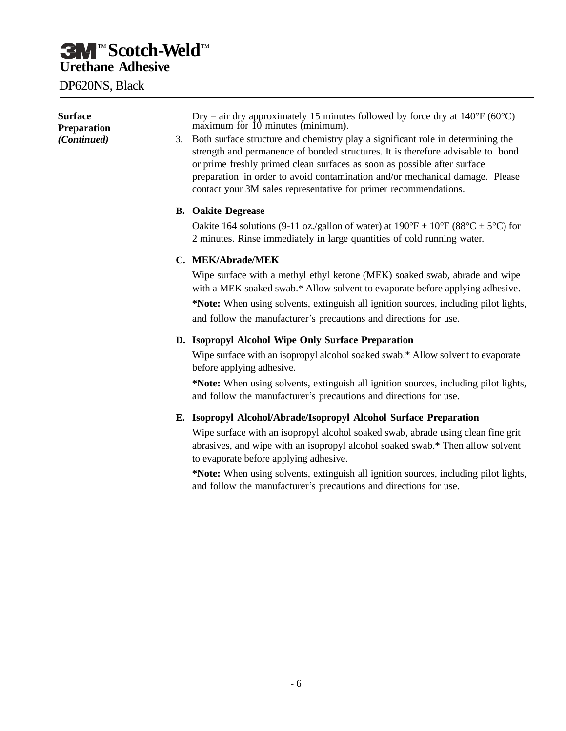DP620NS, Black

| <b>Surface</b><br>Preparation<br>(Continued) | Dry – air dry approximately 15 minutes followed by force dry at $140^{\circ}F(60^{\circ}C)$<br>maximum for 10 minutes (minimum).<br>3. Both surface structure and chemistry play a significant role in determining the<br>strength and permanence of bonded structures. It is therefore advisable to bond<br>or prime freshly primed clean surfaces as soon as possible after surface<br>preparation in order to avoid contamination and/or mechanical damage. Please<br>contact your 3M sales representative for primer recommendations. |
|----------------------------------------------|-------------------------------------------------------------------------------------------------------------------------------------------------------------------------------------------------------------------------------------------------------------------------------------------------------------------------------------------------------------------------------------------------------------------------------------------------------------------------------------------------------------------------------------------|
|                                              | <b>B.</b> Oakite Degrease                                                                                                                                                                                                                                                                                                                                                                                                                                                                                                                 |
|                                              | Oakite 164 solutions (9-11 oz./gallon of water) at $190^{\circ}F \pm 10^{\circ}F$ (88°C $\pm$ 5°C) for<br>2 minutes. Rinse immediately in large quantities of cold running water.                                                                                                                                                                                                                                                                                                                                                         |
|                                              | C. MEK/Abrade/MEK                                                                                                                                                                                                                                                                                                                                                                                                                                                                                                                         |
|                                              | Wipe surface with a methyl ethyl ketone (MEK) soaked swab, abrade and wipe<br>with a MEK soaked swab.* Allow solvent to evaporate before applying adhesive.<br>*Note: When using solvents, extinguish all ignition sources, including pilot lights,<br>and follow the manufacturer's precautions and directions for use.                                                                                                                                                                                                                  |
|                                              | D. Isopropyl Alcohol Wipe Only Surface Preparation                                                                                                                                                                                                                                                                                                                                                                                                                                                                                        |
|                                              | Wipe surface with an isopropyl alcohol soaked swab.* Allow solvent to evaporate<br>before applying adhesive.                                                                                                                                                                                                                                                                                                                                                                                                                              |
|                                              | *Note: When using solvents, extinguish all ignition sources, including pilot lights,<br>and follow the manufacturer's precautions and directions for use.                                                                                                                                                                                                                                                                                                                                                                                 |
|                                              | E. Isopropyl Alcohol/Abrade/Isopropyl Alcohol Surface Preparation                                                                                                                                                                                                                                                                                                                                                                                                                                                                         |
|                                              | Wipe surface with an isopropyl alcohol soaked swab, abrade using clean fine grit<br>abrasives, and wipe with an isopropyl alcohol soaked swab.* Then allow solvent<br>to evaporate before applying adhesive.                                                                                                                                                                                                                                                                                                                              |
|                                              | *Note: When using solvents, extinguish all ignition sources, including pilot lights,<br>and follow the manufacturer's precautions and directions for use.                                                                                                                                                                                                                                                                                                                                                                                 |
|                                              |                                                                                                                                                                                                                                                                                                                                                                                                                                                                                                                                           |
|                                              |                                                                                                                                                                                                                                                                                                                                                                                                                                                                                                                                           |
|                                              |                                                                                                                                                                                                                                                                                                                                                                                                                                                                                                                                           |
|                                              |                                                                                                                                                                                                                                                                                                                                                                                                                                                                                                                                           |
|                                              |                                                                                                                                                                                                                                                                                                                                                                                                                                                                                                                                           |